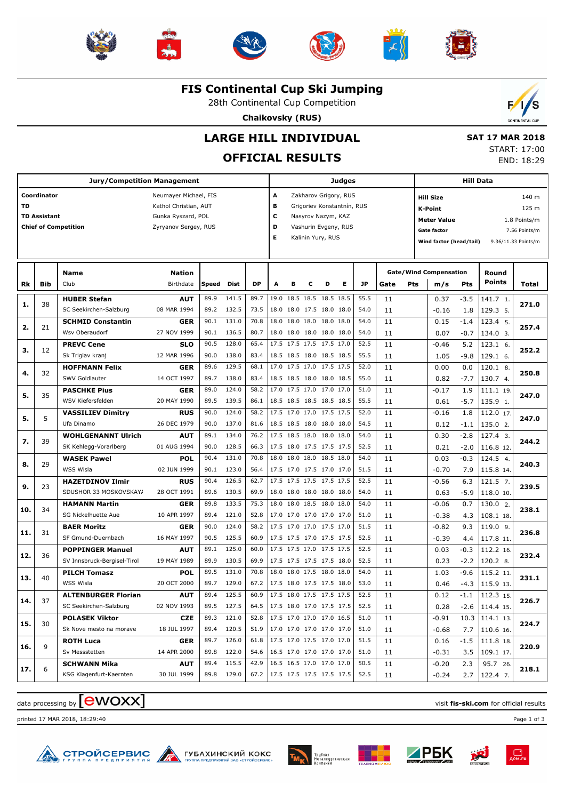











**FIS Continental Cup Ski Jumping**

28th Continental Cup Competition

**Chaikovsky (RUS)**



# **LARGE HILL INDIVIDUAL**

## **OFFICIAL RESULTS**

 **SAT 17 MAR 2018** START: 17:00 END: 18:29

|           |                     | <b>Jury/Competition Management</b> | Judges                                         |       |            |                               |        |                         |   |                                                     | <b>Hill Data</b> |      |      |     |                               |        |                        |                     |
|-----------|---------------------|------------------------------------|------------------------------------------------|-------|------------|-------------------------------|--------|-------------------------|---|-----------------------------------------------------|------------------|------|------|-----|-------------------------------|--------|------------------------|---------------------|
| <b>TD</b> | Coordinator         |                                    | Neumayer Michael, FIS<br>Kathol Christian, AUT |       |            |                               | A<br>в |                         |   | Zakharov Grigory, RUS<br>Grigoriev Konstantnín, RUS |                  |      |      |     | <b>Hill Size</b><br>K-Point   |        |                        | 140 m<br>125 m      |
|           | <b>TD Assistant</b> |                                    | Gunka Ryszard, POL                             |       |            |                               |        | с<br>Nasyrov Nazym, KAZ |   |                                                     |                  |      |      |     | Meter Value                   |        |                        | 1.8 Points/m        |
|           |                     | <b>Chief of Competition</b>        | Zyryanov Sergey, RUS                           |       |            |                               | D      |                         |   | Vashurin Evgeny, RUS                                |                  |      |      |     | <b>Gate factor</b>            |        |                        | 7.56 Points/m       |
|           |                     |                                    |                                                |       |            |                               | Е      |                         |   | Kalinin Yury, RUS                                   |                  |      |      |     | Wind factor (head/tail)       |        |                        | 9.36/11.33 Points/m |
|           |                     |                                    |                                                |       |            |                               |        |                         |   |                                                     |                  |      |      |     |                               |        |                        |                     |
|           |                     | <b>Name</b>                        | <b>Nation</b>                                  |       |            |                               |        |                         |   |                                                     |                  |      |      |     | <b>Gate/Wind Compensation</b> |        | Round<br><b>Points</b> |                     |
| Rk        | Bib                 | Club                               | Birthdate                                      | Speed | Dist       | <b>DP</b>                     | A      | в                       | С | D                                                   | Е                | JP   | Gate | Pts | m/s                           | Pts    |                        | Total               |
| 1.        | 38                  | <b>HUBER Stefan</b>                | <b>AUT</b>                                     | 89.9  | 141.5      | 89.7                          | 19.0   | 18.5 18.5               |   | 18.5 18.5                                           |                  | 55.5 | 11   |     | 0.37                          | $-3.5$ | 141.7 1.               | 271.0               |
|           |                     | SC Seekirchen-Salzburg             | 08 MAR 1994                                    | 89.2  | 132.5      | 73.5                          |        |                         |   | 18.0 18.0 17.5 18.0 18.0                            |                  | 54.0 | 11   |     | $-0.16$                       | 1.8    | 129.3 5.               |                     |
| 2.        | 21                  | <b>SCHMID Constantin</b>           | <b>GER</b>                                     | 90.1  | 131.0      | 70.8                          | 18.0   | 18.0 18.0               |   | 18.0 18.0                                           |                  | 54.0 | 11   |     | 0.15                          | $-1.4$ | 123.4 5.               | 257.4               |
|           |                     | Wsv Oberaudorf                     | 27 NOV 1999                                    | 90.1  | 136.5      | 80.7                          |        |                         |   | 18.0 18.0 18.0 18.0 18.0                            |                  | 54.0 | 11   |     | 0.07                          | $-0.7$ | 134.0 3.               |                     |
| з.        | 12                  | <b>PREVC Cene</b>                  | <b>SLO</b>                                     | 90.5  | 128.0      | 65.4                          |        |                         |   | 17.5 17.5 17.5 17.5 17.0                            |                  | 52.5 | 11   |     | $-0.46$                       | 5.2    | 123.1 6.               | 252.2               |
|           |                     | Sk Triglav kranj                   | 12 MAR 1996                                    | 90.0  | 138.0      | 83.4                          |        |                         |   | 18.5 18.5 18.0 18.5 18.5                            |                  | 55.5 | 11   |     | 1.05                          | $-9.8$ | 129.1 6.               |                     |
| 4.        | 32                  | <b>HOFFMANN Felix</b>              | <b>GER</b>                                     | 89.6  | 129.5      | 68.1                          |        |                         |   | 17.0 17.5 17.0 17.5 17.5                            |                  | 52.0 | 11   |     | 0.00                          | 0.0    | 120.1 8.               | 250.8               |
|           |                     | SWV Goldlauter                     | 14 OCT 1997                                    | 89.7  | 138.0      | 83.4                          |        |                         |   | 18.5 18.5 18.0 18.0 18.5                            |                  | 55.0 | 11   |     | 0.82                          | $-7.7$ | 130.7 4.               |                     |
| 5.        | 35                  | <b>PASCHKE Pius</b>                | <b>GER</b>                                     | 89.0  | 124.0      | 58.2                          |        |                         |   | 17.0 17.5 17.0 17.0 17.0                            |                  | 51.0 | 11   |     | $-0.17$                       | 1.9    | 111.1 19.              | 247.0               |
|           |                     | WSV Kiefersfelden                  | 20 MAY 1990                                    | 89.5  | 139.5      | 86.1                          |        |                         |   | 18.5 18.5 18.5 18.5 18.5                            |                  | 55.5 | 11   |     | 0.61                          | $-5.7$ | 135.9 1.               |                     |
| 5.        | 5                   | <b>VASSILIEV Dimitry</b>           | <b>RUS</b>                                     | 90.0  | 124.0      | 58.2                          |        |                         |   | 17.5 17.0 17.0 17.5 17.5                            |                  | 52.0 | 11   |     | $-0.16$                       | 1.8    | 112.0 17.              | 247.0               |
|           |                     | Ufa Dinamo                         | 26 DEC 1979                                    | 90.0  | 137.0      | 81.6                          |        |                         |   | 18.5 18.5 18.0 18.0 18.0                            |                  | 54.5 | 11   |     | 0.12                          | $-1.1$ | 135.0 2.               |                     |
| 7.        | 39                  | <b>WOHLGENANNT Ulrich</b>          | <b>AUT</b>                                     | 89.1  | 134.0      | 76.2                          |        |                         |   | 17.5 18.5 18.0 18.0 18.0                            |                  | 54.0 | 11   |     | 0.30                          | $-2.8$ | 127.4 3.               | 244.2               |
|           |                     | SK Kehlegg-Vorarlberg              | 01 AUG 1994                                    | 90.0  | 128.5      | 66.3                          |        |                         |   | 17.5 18.0 17.5 17.5 17.5                            |                  | 52.5 | 11   |     | 0.21                          | $-2.0$ | 116.8 12.              |                     |
| 8.        | 29                  | <b>WASEK Pawel</b>                 | <b>POL</b>                                     | 90.4  | 131.0      | 70.8                          | 18.0   |                         |   | 18.0 18.0 18.5 18.0                                 |                  | 54.0 | 11   |     | 0.03                          | $-0.3$ | 124.5 4.               | 240.3               |
|           |                     | WSS Wisla                          | 02 JUN 1999                                    | 90.1  | 123.0      | 56.4                          |        |                         |   | 17.5 17.0 17.5 17.0 17.0                            |                  | 51.5 | 11   |     | $-0.70$                       | 7.9    | 115.8 14.              |                     |
| 9.        | 23                  | <b>HAZETDINOV Ilmir</b>            | <b>RUS</b>                                     | 90.4  | 126.5      | 62.7                          |        |                         |   | 17.5 17.5 17.5 17.5 17.5                            |                  | 52.5 | 11   |     | $-0.56$                       | 6.3    | 121.5 7.               | 239.5               |
|           |                     | SDUSHOR 33 MOSKOVSKAY/             | 28 OCT 1991                                    | 89.6  | 130.5      | 69.9                          |        |                         |   | 18.0 18.0 18.0 18.0 18.0                            |                  | 54.0 | 11   |     | 0.63                          | $-5.9$ | 118.0 10.              |                     |
| 10.       | 34                  | <b>HAMANN Martin</b>               | <b>GER</b>                                     | 89.8  | 133.5      | 75.3                          |        |                         |   | 18.0 18.0 18.5 18.0 18.0                            |                  | 54.0 | 11   |     | $-0.06$                       | 0.7    | 130.0 2.               | 238.1               |
|           |                     | SG Nickelhuette Aue                | 10 APR 1997                                    | 89.4  | 121.0      | 52.8                          |        |                         |   | 17.0 17.0 17.0 17.0 17.0                            |                  | 51.0 | 11   |     | $-0.38$                       | 4.3    | 108.1 18.              |                     |
| 11.       | 31                  | <b>BAER Moritz</b>                 | <b>GER</b>                                     | 90.0  | 124.0      | 58.2                          |        |                         |   | 17.5 17.0 17.0 17.5 17.0                            |                  | 51.5 | 11   |     | $-0.82$                       | 9.3    | 119.0 9.               | 236.8               |
|           |                     | SF Gmund-Duernbach                 | 16 MAY 1997                                    | 90.5  | 125.5      | 60.9                          |        |                         |   | 17.5 17.5 17.0 17.5 17.5                            |                  | 52.5 | 11   |     | $-0.39$                       | 4.4    | 117.8 11.              |                     |
| 12.       | 36                  | <b>POPPINGER Manuel</b>            | <b>AUT</b>                                     | 89.1  | 125.0      | 60.0                          |        |                         |   | 17.5 17.5 17.0 17.5 17.5                            |                  | 52.5 | 11   |     | 0.03                          | $-0.3$ | 112.2 16.              | 232.4               |
|           |                     | SV Innsbruck-Bergisel-Tirol        | 19 MAY 1989                                    | 89.9  | 130.5      | 69.9                          |        |                         |   | 17.5 17.5 17.5 17.5 18.0                            |                  | 52.5 | 11   |     | 0.23                          | $-2.2$ | 120.2 8.               |                     |
| 13.       | 40                  | <b>PILCH Tomasz</b>                | <b>POL</b>                                     | 89.5  | 131.0      | 70.8                          | 18.0   |                         |   | 18.0 17.5 18.0 18.0                                 |                  | 54.0 | 11   |     | 1.03                          | $-9.6$ | 115.2 11               | 231.1               |
|           |                     | WSS Wisla                          | 20 OCT 2000                                    | 89.7  | 129.0      | 67.2                          |        |                         |   | 17.5 18.0 17.5 17.5 18.0                            |                  | 53.0 | 11   |     | 0.46                          | -4.3   | 115.9 13.              |                     |
|           |                     | <b>ALTENBURGER Florian</b>         | <b>AUT</b>                                     | 89.4  | 125.5      | 60.9                          |        |                         |   | 17.5 18.0 17.5 17.5 17.5                            |                  | 52.5 | 11   |     | 0.12                          | $-1.1$ | 112.3 15.              | 226.7               |
| 14.       | 37                  | SC Seekirchen-Salzburg             | 02 NOV 1993                                    | 89.5  | 127.5      | 64.5                          |        |                         |   | 17.5 18.0 17.0 17.5 17.5                            |                  | 52.5 | 11   |     | 0.28                          |        | $-2.6$   114.4 15.     |                     |
|           |                     | <b>POLASEK Viktor</b>              | <b>CZE</b>                                     | 89.3  | 121.0      | 52.8                          |        |                         |   | 17.5 17.0 17.0 17.0 16.5                            |                  | 51.0 | 11   |     | $-0.91$                       |        | $10.3$ 114.1 13.       |                     |
| 15.       | 30                  | Sk Nove mesto na morave            | 18 JUL 1997                                    |       | 89.4 120.5 | 51.9                          |        |                         |   | 17.0 17.0 17.0 17.0 17.0                            |                  | 51.0 | 11   |     | $-0.68$                       |        | $7.7$   110.6 16.      | 224.7               |
|           |                     | <b>ROTH Luca</b>                   | <b>GER</b>                                     | 89.7  | 126.0      | 61.8                          |        |                         |   | 17.5 17.0 17.5 17.0 17.0                            |                  | 51.5 | 11   |     | 0.16                          | $-1.5$ | 111.8 18.              |                     |
| 16.       | 9                   | Sv Messstetten                     | 14 APR 2000                                    |       | 89.8 122.0 | 54.6                          |        |                         |   | 16.5 17.0 17.0 17.0 17.0                            |                  | 51.0 | 11   |     | $-0.31$                       | $3.5$  | 109.1 17.              | 220.9               |
|           |                     | <b>SCHWANN Mika</b>                | <b>AUT</b>                                     | 89.4  | 115.5      | 42.9                          |        |                         |   | 16.5 16.5 17.0 17.0 17.0                            |                  | 50.5 | 11   |     | $-0.20$                       | 2.3    | 95.7 26.               |                     |
| 17.       | 6                   | KSG Klagenfurt-Kaernten            | 30 JUL 1999                                    |       | 89.8 129.0 | 67.2 17.5 17.5 17.5 17.5 17.5 |        |                         |   |                                                     |                  | 52.5 | 11   |     | $-0.24$                       | 2.7    | 122.4 7.               | 218.1               |
|           |                     |                                    |                                                |       |            |                               |        |                         |   |                                                     |                  |      |      |     |                               |        |                        |                     |

## data processing by **CWOXX** and  $\blacksquare$  and  $\blacksquare$  and  $\blacksquare$  and  $\blacksquare$  and  $\blacksquare$  and  $\blacksquare$  and  $\blacksquare$  and  $\blacksquare$  and  $\blacksquare$  and  $\blacksquare$  and  $\blacksquare$  and  $\blacksquare$  and  $\blacksquare$  and  $\blacksquare$  and  $\blacksquare$  and  $\blacksquare$  and  $\blacksquare$  and  $\blacks$

printed 17 MAR 2018, 18:29:40 Page 1 of 3















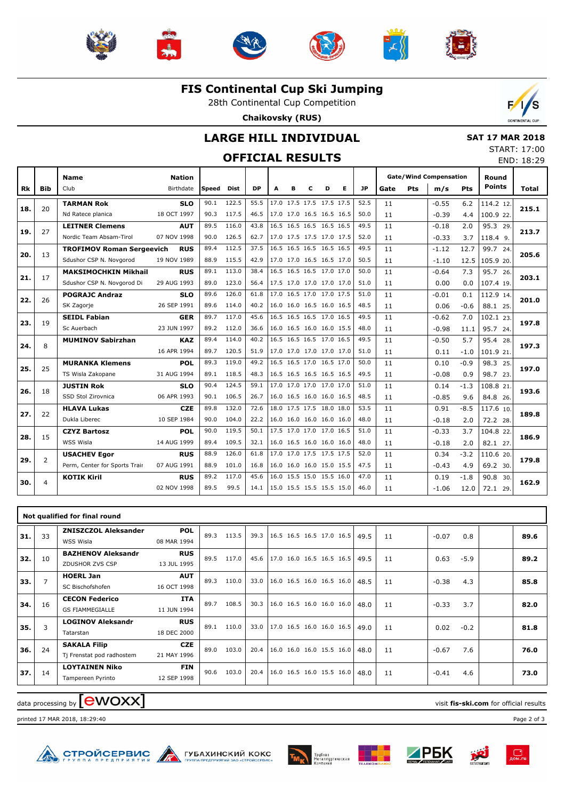











**FIS Continental Cup Ski Jumping**

28th Continental Cup Competition

**Chaikovsky (RUS)**



#### **LARGE HILL INDIVIDUAL**

#### **OFFICIAL RESULTS**

|  | <b>SAT 17 MAR 2018</b> |
|--|------------------------|
|  | START: 17:00           |
|  | END: 18:29             |

|           |                | <b>Name</b>                      | <b>Nation</b> |       |             |           |   |   |   |                          |   |           |      |            | <b>Gate/Wind Compensation</b> |            | Round         |       |
|-----------|----------------|----------------------------------|---------------|-------|-------------|-----------|---|---|---|--------------------------|---|-----------|------|------------|-------------------------------|------------|---------------|-------|
| <b>Rk</b> | Bib            | Club                             | Birthdate     | Speed | <b>Dist</b> | <b>DP</b> | A | в | C | D                        | Е | <b>JP</b> | Gate | <b>Pts</b> | m/s                           | <b>Pts</b> | <b>Points</b> | Total |
|           |                | <b>TARMAN Rok</b>                | <b>SLO</b>    | 90.1  | 122.5       | 55.5      |   |   |   | 17.0 17.5 17.5 17.5 17.5 |   | 52.5      | 11   |            | $-0.55$                       | 6.2        | 114.2 12.     | 215.1 |
| 18.       | 20             | Nd Ratece planica                | 18 OCT 1997   | 90.3  | 117.5       | 46.5      |   |   |   | 17.0 17.0 16.5 16.5 16.5 |   | 50.0      | 11   |            | $-0.39$                       | 4.4        | 100.9 22.     |       |
| 19.       | 27             | <b>LEITNER Clemens</b>           | <b>AUT</b>    | 89.5  | 116.0       | 43.8      |   |   |   | 16.5 16.5 16.5 16.5 16.5 |   | 49.5      | 11   |            | $-0.18$                       | 2.0        | 95.3 29       |       |
|           |                | Nordic Team Absam-Tirol          | 07 NOV 1998   | 90.0  | 126.5       | 62.7      |   |   |   | 17.0 17.5 17.5 17.0 17.5 |   | 52.0      | 11   |            | $-0.33$                       | 3.7        | $118.4$ 9.    | 213.7 |
| 20.       | 13             | <b>TROFIMOV Roman Sergeevich</b> | <b>RUS</b>    | 89.4  | 112.5       | 37.5      |   |   |   | 16.5 16.5 16.5 16.5 16.5 |   | 49.5      | 11   |            | $-1.12$                       | 12.7       | 99.7 24.      | 205.6 |
|           |                | Sdushor CSP N. Novgorod          | 19 NOV 1989   | 88.9  | 115.5       | 42.9      |   |   |   | 17.0 17.0 16.5 16.5 17.0 |   | 50.5      | 11   |            | $-1.10$                       | 12.5       | 105.9 20.     |       |
|           | 17             | <b>MAKSIMOCHKIN Mikhail</b>      | <b>RUS</b>    | 89.1  | 113.0       | 38.4      |   |   |   | 16.5 16.5 16.5 17.0 17.0 |   | 50.0      | 11   |            | $-0.64$                       | 7.3        | 95.7 26       | 203.1 |
| 21.       |                | Sdushor CSP N. Novgorod Di       | 29 AUG 1993   | 89.0  | 123.0       | 56.4      |   |   |   | 17.5 17.0 17.0 17.0 17.0 |   | 51.0      | 11   |            | 0.00                          | 0.0        | 107.4 19.     |       |
|           | 26             | <b>POGRAJC Andraz</b>            | <b>SLO</b>    | 89.6  | 126.0       | 61.8      |   |   |   | 17.0 16.5 17.0 17.0 17.5 |   | 51.0      | 11   |            | $-0.01$                       | 0.1        | 112.9 14      |       |
| 22.       |                | SK Zagorje                       | 26 SEP 1991   | 89.6  | 114.0       | 40.2      |   |   |   | 16.0 16.0 16.5 16.0 16.5 |   | 48.5      | 11   |            | 0.06                          | $-0.6$     | 88.1 25.      | 201.0 |
|           |                | <b>SEIDL Fabian</b>              | <b>GER</b>    | 89.7  | 117.0       | 45.6      |   |   |   | 16.5 16.5 16.5 17.0 16.5 |   | 49.5      | 11   |            | $-0.62$                       | 7.0        | 102.1 23.     |       |
| 23.       | 19             | Sc Auerbach                      | 23 JUN 1997   | 89.2  | 112.0       | 36.6      |   |   |   | 16.0 16.5 16.0 16.0 15.5 |   | 48.0      | 11   |            | $-0.98$                       | 11.1       | 95.7 24.      | 197.8 |
|           |                | <b>MUMINOV Sabirzhan</b>         | <b>KAZ</b>    | 89.4  | 114.0       | 40.2      |   |   |   | 16.5 16.5 16.5 17.0 16.5 |   | 49.5      | 11   |            | $-0.50$                       | 5.7        | 95.4 28.      |       |
| 24.       | 8              |                                  | 16 APR 1994   | 89.7  | 120.5       | 51.9      |   |   |   | 17.0 17.0 17.0 17.0 17.0 |   | 51.0      | 11   |            | 0.11                          | $-1.0$     | 101.9 21.     | 197.3 |
|           | 25             | <b>MURANKA Klemens</b>           | <b>POL</b>    | 89.3  | 119.0       | 49.2      |   |   |   | 16.5 16.5 17.0 16.5 17.0 |   | 50.0      | 11   |            | 0.10                          | $-0.9$     | 98.3 25.      |       |
| 25.       |                | TS Wisla Zakopane                | 31 AUG 1994   | 89.1  | 118.5       | 48.3      |   |   |   | 16.5 16.5 16.5 16.5 16.5 |   | 49.5      | 11   |            | $-0.08$                       | 0.9        | 98.7 23.      | 197.0 |
|           |                | <b>JUSTIN Rok</b>                | SLO           | 90.4  | 124.5       | 59.1      |   |   |   | 17.0 17.0 17.0 17.0 17.0 |   | 51.0      | 11   |            | 0.14                          | $-1.3$     | 108.8 21      |       |
| 26.       | 18             | SSD Stol Zirovnica               | 06 APR 1993   | 90.1  | 106.5       | 26.7      |   |   |   | 16.0 16.5 16.0 16.0 16.5 |   | 48.5      | 11   |            | $-0.85$                       | 9.6        | 84.8 26.      | 193.6 |
|           |                | <b>HLAVA Lukas</b>               | <b>CZE</b>    | 89.8  | 132.0       | 72.6      |   |   |   | 18.0 17.5 17.5 18.0 18.0 |   | 53.5      | 11   |            | 0.91                          | $-8.5$     | 117.6 10.     |       |
| 27.       | 22             | Dukla Liberec                    | 10 SEP 1984   | 90.0  | 104.0       | 22.2      |   |   |   | 16.0 16.0 16.0 16.0 16.0 |   | 48.0      | 11   |            | $-0.18$                       | 2.0        | 72.2 28.      | 189.8 |
|           | 15             | <b>CZYZ Bartosz</b>              | POL           | 90.0  | 119.5       | 50.1      |   |   |   | 17.5 17.0 17.0 17.0 16.5 |   | 51.0      | 11   |            | $-0.33$                       | 3.7        | 104.8 22.     |       |
| 28.       |                | WSS Wisla                        | 14 AUG 1999   | 89.4  | 109.5       | 32.1      |   |   |   | 16.0 16.5 16.0 16.0 16.0 |   | 48.0      | 11   |            | $-0.18$                       | 2.0        | 82.1 27.      | 186.9 |
| 29.       | $\overline{2}$ | <b>USACHEV Egor</b>              | <b>RUS</b>    | 88.9  | 126.0       | 61.8      |   |   |   | 17.0 17.0 17.5 17.5 17.5 |   | 52.0      | 11   |            | 0.34                          | $-3.2$     | 110.6 20      | 179.8 |
|           |                | Perm, Center for Sports Trair    | 07 AUG 1991   | 88.9  | 101.0       | 16.8      |   |   |   | 16.0 16.0 16.0 15.0 15.5 |   | 47.5      | 11   |            | $-0.43$                       | 4.9        | 69.2 30.      |       |
| 30.       | $\overline{4}$ | <b>KOTIK Kiril</b>               | <b>RUS</b>    | 89.2  | 117.0       | 45.6      |   |   |   | 16.0 15.5 15.0 15.5 16.0 |   | 47.0      | 11   |            | 0.19                          | $-1.8$     | 90.8 30.      | 162.9 |
|           |                |                                  | 02 NOV 1998   | 89.5  | 99.5        | 14.1      |   |   |   | 15.0 15.5 15.5 15.5 15.0 |   | 46.0      | 11   |            | $-1.06$                       | 12.0       | 72.1 29.      |       |
|           |                |                                  |               |       |             |           |   |   |   |                          |   |           |      |            |                               |            |               |       |

|     |                | Not qualified for final round                    |                           |      |       |      |                            |  |      |    |         |        |      |
|-----|----------------|--------------------------------------------------|---------------------------|------|-------|------|----------------------------|--|------|----|---------|--------|------|
| 31. | 33             | <b>ZNISZCZOL Aleksander</b><br>WSS Wisla         | <b>POL</b><br>08 MAR 1994 | 89.3 | 113.5 | 39.3 | 16.5 16.5 16.5 17.0 16.5   |  | 49.5 | 11 | $-0.07$ | 0.8    | 89.6 |
| 32. | 10             | <b>BAZHENOV Aleksandr</b><br>ZDUSHOR ZVS CSP     | <b>RUS</b><br>13 JUL 1995 | 89.5 | 117.0 | 45.6 | 17.0 16.0 16.5 16.5 16.5   |  | 49.5 | 11 | 0.63    | $-5.9$ | 89.2 |
| 33. | $\overline{7}$ | <b>HOERL Jan</b><br>SC Bischofshofen             | <b>AUT</b><br>16 OCT 1998 | 89.3 | 110.0 | 33.0 | 16.0 16.5 16.0 16.5 16.0   |  | 48.5 | 11 | $-0.38$ | 4.3    | 85.8 |
| 34. | 16             | <b>CECON Federico</b><br><b>GS FIAMMEGIALLE</b>  | <b>ITA</b><br>11 JUN 1994 | 89.7 | 108.5 | 30.3 | 16.0 16.5 16.0 16.0 16.0   |  | 48.0 | 11 | $-0.33$ | 3.7    | 82.0 |
| 35. | 3              | <b>LOGINOV Aleksandr</b><br>Tatarstan            | <b>RUS</b><br>18 DEC 2000 | 89.1 | 110.0 | 33.0 | 17.0 16.5 16.0 16.0 16.5   |  | 49.0 | 11 | 0.02    | $-0.2$ | 81.8 |
| 36. | 24             | <b>SAKALA Filip</b><br>Tj Frenstat pod radhostem | <b>CZE</b><br>21 MAY 1996 | 89.0 | 103.0 | 20.4 | $16.0$ 16.0 16.0 15.5 16.0 |  | 48.0 | 11 | $-0.67$ | 7.6    | 76.0 |
| 37. | 14             | <b>LOYTAINEN Niko</b><br>Tampereen Pyrinto       | <b>FIN</b><br>12 SEP 1998 | 90.6 | 103.0 | 20.4 | 16.0 16.5 16.0 15.5 16.0   |  | 48.0 | 11 | $-0.41$ | 4.6    | 73.0 |

## data processing by **CWOXX** and  $\blacksquare$  and  $\blacksquare$  and  $\blacksquare$  and  $\blacksquare$  and  $\blacksquare$  and  $\blacksquare$  and  $\blacksquare$  and  $\blacksquare$  and  $\blacksquare$  and  $\blacksquare$  and  $\blacksquare$  and  $\blacksquare$  and  $\blacksquare$  and  $\blacksquare$  and  $\blacksquare$  and  $\blacksquare$  and  $\blacksquare$  and  $\blacks$

printed 17 MAR 2018, 18:29:40 Page 2 of 3